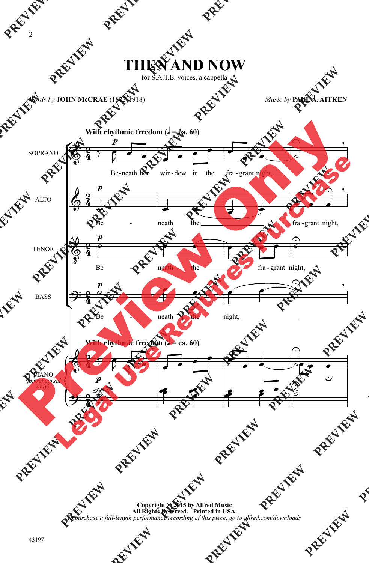## **THEN AND NOW**

for S.A.T.B. voices, a cappella

## *Words by* **JOHN McCRAE** (1872-1918)

*Music by* **PAUL A. AITKEN**



**Copyright © 2015 by Alfred Music All Rights Reserved. Printed in USA.** *To purchase a full-length performance recording of this piece, go to alfred.com/downloads*

2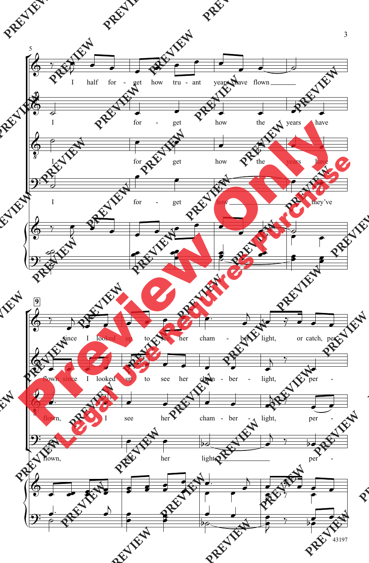

3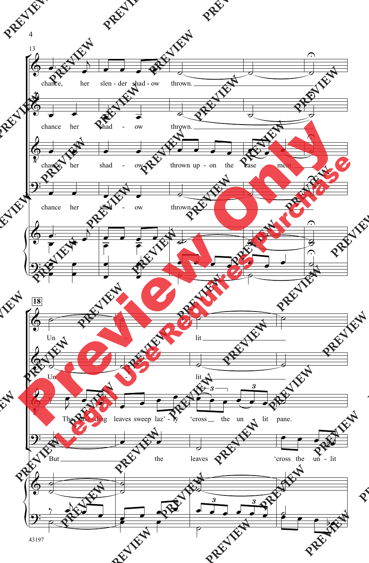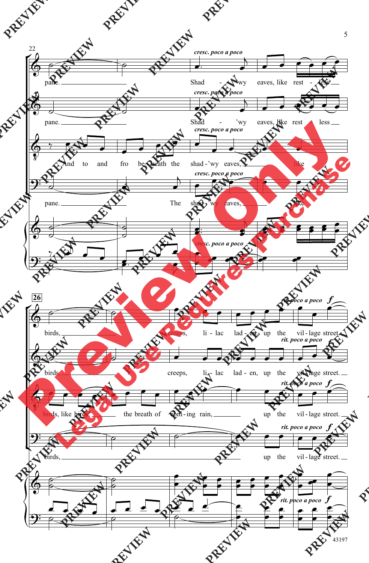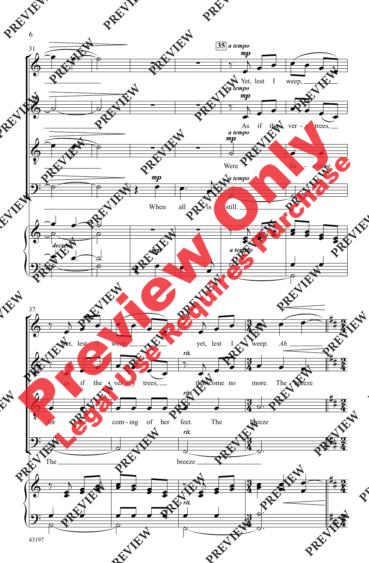